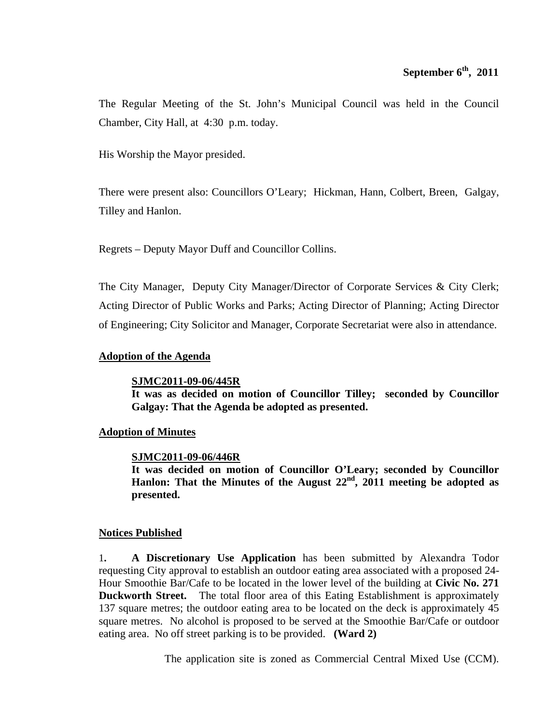The Regular Meeting of the St. John's Municipal Council was held in the Council Chamber, City Hall, at 4:30 p.m. today.

His Worship the Mayor presided.

There were present also: Councillors O'Leary; Hickman, Hann, Colbert, Breen, Galgay, Tilley and Hanlon.

Regrets – Deputy Mayor Duff and Councillor Collins.

The City Manager, Deputy City Manager/Director of Corporate Services & City Clerk; Acting Director of Public Works and Parks; Acting Director of Planning; Acting Director of Engineering; City Solicitor and Manager, Corporate Secretariat were also in attendance.

# **Adoption of the Agenda**

# **SJMC2011-09-06/445R**

**It was as decided on motion of Councillor Tilley; seconded by Councillor Galgay: That the Agenda be adopted as presented.**

# **Adoption of Minutes**

# **SJMC2011-09-06/446R**

**It was decided on motion of Councillor O'Leary; seconded by Councillor**  Hanlon: That the Minutes of the August 22<sup>nd</sup>, 2011 meeting be adopted as **presented.** 

# **Notices Published**

1**. A Discretionary Use Application** has been submitted by Alexandra Todor requesting City approval to establish an outdoor eating area associated with a proposed 24- Hour Smoothie Bar/Cafe to be located in the lower level of the building at **Civic No. 271 Duckworth Street.** The total floor area of this Eating Establishment is approximately 137 square metres; the outdoor eating area to be located on the deck is approximately 45 square metres. No alcohol is proposed to be served at the Smoothie Bar/Cafe or outdoor eating area. No off street parking is to be provided. **(Ward 2)** 

The application site is zoned as Commercial Central Mixed Use (CCM).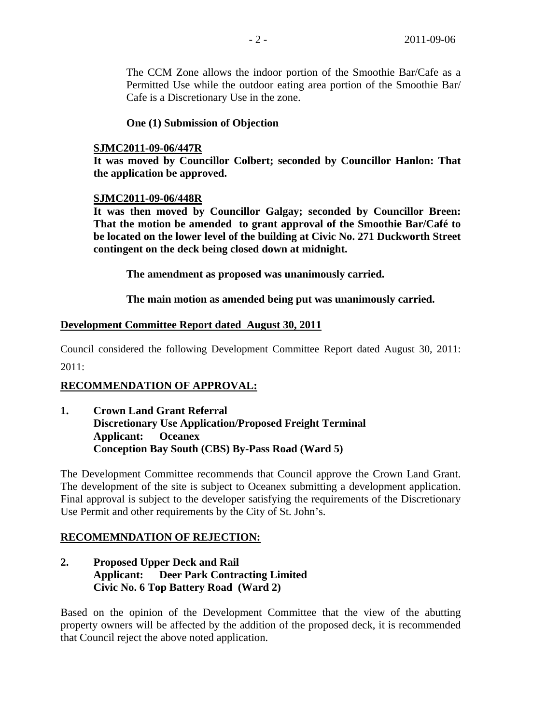The CCM Zone allows the indoor portion of the Smoothie Bar/Cafe as a Permitted Use while the outdoor eating area portion of the Smoothie Bar/ Cafe is a Discretionary Use in the zone.

# **One (1) Submission of Objection**

# **SJMC2011-09-06/447R**

**It was moved by Councillor Colbert; seconded by Councillor Hanlon: That the application be approved.** 

## **SJMC2011-09-06/448R**

**It was then moved by Councillor Galgay; seconded by Councillor Breen: That the motion be amended to grant approval of the Smoothie Bar/Café to be located on the lower level of the building at Civic No. 271 Duckworth Street contingent on the deck being closed down at midnight.** 

 **The amendment as proposed was unanimously carried.** 

 **The main motion as amended being put was unanimously carried.** 

## **Development Committee Report dated August 30, 2011**

Council considered the following Development Committee Report dated August 30, 2011:

2011:

# **RECOMMENDATION OF APPROVAL:**

**1. Crown Land Grant Referral Discretionary Use Application/Proposed Freight Terminal Applicant: Oceanex Conception Bay South (CBS) By-Pass Road (Ward 5)**

The Development Committee recommends that Council approve the Crown Land Grant. The development of the site is subject to Oceanex submitting a development application. Final approval is subject to the developer satisfying the requirements of the Discretionary Use Permit and other requirements by the City of St. John's.

# **RECOMEMNDATION OF REJECTION:**

**2. Proposed Upper Deck and Rail Applicant: Deer Park Contracting Limited Civic No. 6 Top Battery Road (Ward 2)**

Based on the opinion of the Development Committee that the view of the abutting property owners will be affected by the addition of the proposed deck, it is recommended that Council reject the above noted application.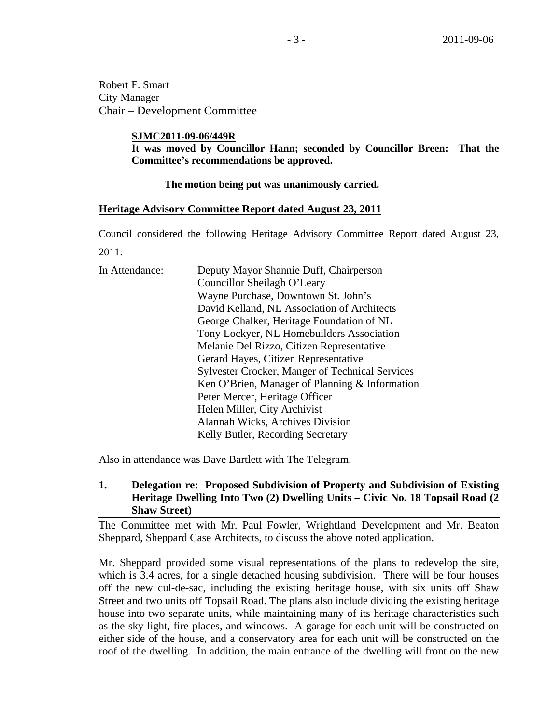Robert F. Smart City Manager Chair – Development Committee

## **SJMC2011-09-06/449R**

**It was moved by Councillor Hann; seconded by Councillor Breen: That the Committee's recommendations be approved.** 

## **The motion being put was unanimously carried.**

## **Heritage Advisory Committee Report dated August 23, 2011**

Council considered the following Heritage Advisory Committee Report dated August 23, 2011:

| Deputy Mayor Shannie Duff, Chairperson                 |  |
|--------------------------------------------------------|--|
|                                                        |  |
|                                                        |  |
| David Kelland, NL Association of Architects            |  |
| George Chalker, Heritage Foundation of NL              |  |
| Tony Lockyer, NL Homebuilders Association              |  |
| Melanie Del Rizzo, Citizen Representative              |  |
|                                                        |  |
| <b>Sylvester Crocker, Manger of Technical Services</b> |  |
| Ken O'Brien, Manager of Planning & Information         |  |
|                                                        |  |
|                                                        |  |
|                                                        |  |
|                                                        |  |
|                                                        |  |

Also in attendance was Dave Bartlett with The Telegram.

# **1. Delegation re: Proposed Subdivision of Property and Subdivision of Existing Heritage Dwelling Into Two (2) Dwelling Units – Civic No. 18 Topsail Road (2 Shaw Street)**

The Committee met with Mr. Paul Fowler, Wrightland Development and Mr. Beaton Sheppard, Sheppard Case Architects, to discuss the above noted application.

Mr. Sheppard provided some visual representations of the plans to redevelop the site, which is 3.4 acres, for a single detached housing subdivision. There will be four houses off the new cul-de-sac, including the existing heritage house, with six units off Shaw Street and two units off Topsail Road. The plans also include dividing the existing heritage house into two separate units, while maintaining many of its heritage characteristics such as the sky light, fire places, and windows. A garage for each unit will be constructed on either side of the house, and a conservatory area for each unit will be constructed on the roof of the dwelling. In addition, the main entrance of the dwelling will front on the new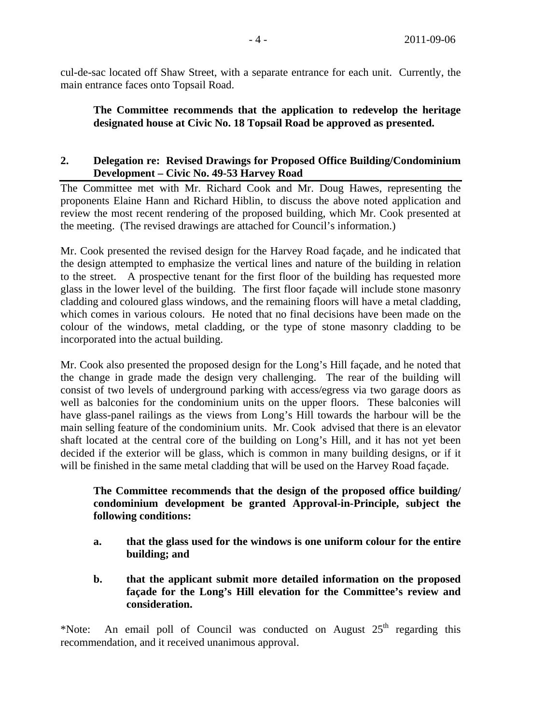cul-de-sac located off Shaw Street, with a separate entrance for each unit. Currently, the main entrance faces onto Topsail Road.

**The Committee recommends that the application to redevelop the heritage designated house at Civic No. 18 Topsail Road be approved as presented.** 

# **2. Delegation re: Revised Drawings for Proposed Office Building/Condominium Development – Civic No. 49-53 Harvey Road**

The Committee met with Mr. Richard Cook and Mr. Doug Hawes, representing the proponents Elaine Hann and Richard Hiblin, to discuss the above noted application and review the most recent rendering of the proposed building, which Mr. Cook presented at the meeting. (The revised drawings are attached for Council's information.)

Mr. Cook presented the revised design for the Harvey Road façade, and he indicated that the design attempted to emphasize the vertical lines and nature of the building in relation to the street. A prospective tenant for the first floor of the building has requested more glass in the lower level of the building. The first floor façade will include stone masonry cladding and coloured glass windows, and the remaining floors will have a metal cladding, which comes in various colours. He noted that no final decisions have been made on the colour of the windows, metal cladding, or the type of stone masonry cladding to be incorporated into the actual building.

Mr. Cook also presented the proposed design for the Long's Hill façade, and he noted that the change in grade made the design very challenging. The rear of the building will consist of two levels of underground parking with access/egress via two garage doors as well as balconies for the condominium units on the upper floors. These balconies will have glass-panel railings as the views from Long's Hill towards the harbour will be the main selling feature of the condominium units. Mr. Cook advised that there is an elevator shaft located at the central core of the building on Long's Hill, and it has not yet been decided if the exterior will be glass, which is common in many building designs, or if it will be finished in the same metal cladding that will be used on the Harvey Road façade.

# **The Committee recommends that the design of the proposed office building/ condominium development be granted Approval-in-Principle, subject the following conditions:**

- **a. that the glass used for the windows is one uniform colour for the entire building; and**
- **b. that the applicant submit more detailed information on the proposed façade for the Long's Hill elevation for the Committee's review and consideration.**

\*Note: An email poll of Council was conducted on August  $25<sup>th</sup>$  regarding this recommendation, and it received unanimous approval.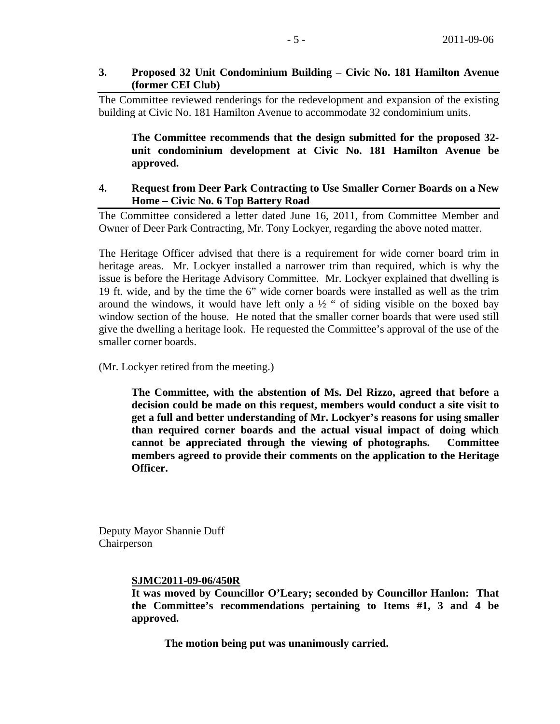# **3. Proposed 32 Unit Condominium Building – Civic No. 181 Hamilton Avenue (former CEI Club)**

The Committee reviewed renderings for the redevelopment and expansion of the existing building at Civic No. 181 Hamilton Avenue to accommodate 32 condominium units.

**The Committee recommends that the design submitted for the proposed 32 unit condominium development at Civic No. 181 Hamilton Avenue be approved.** 

# **4. Request from Deer Park Contracting to Use Smaller Corner Boards on a New Home – Civic No. 6 Top Battery Road**

The Committee considered a letter dated June 16, 2011, from Committee Member and Owner of Deer Park Contracting, Mr. Tony Lockyer, regarding the above noted matter.

The Heritage Officer advised that there is a requirement for wide corner board trim in heritage areas. Mr. Lockyer installed a narrower trim than required, which is why the issue is before the Heritage Advisory Committee. Mr. Lockyer explained that dwelling is 19 ft. wide, and by the time the 6" wide corner boards were installed as well as the trim around the windows, it would have left only a  $\frac{1}{2}$  " of siding visible on the boxed bay window section of the house. He noted that the smaller corner boards that were used still give the dwelling a heritage look. He requested the Committee's approval of the use of the smaller corner boards.

(Mr. Lockyer retired from the meeting.)

**The Committee, with the abstention of Ms. Del Rizzo, agreed that before a decision could be made on this request, members would conduct a site visit to get a full and better understanding of Mr. Lockyer's reasons for using smaller than required corner boards and the actual visual impact of doing which cannot be appreciated through the viewing of photographs. Committee members agreed to provide their comments on the application to the Heritage Officer.** 

Deputy Mayor Shannie Duff Chairperson

# **SJMC2011-09-06/450R**

**It was moved by Councillor O'Leary; seconded by Councillor Hanlon: That the Committee's recommendations pertaining to Items #1, 3 and 4 be approved.** 

 **The motion being put was unanimously carried.**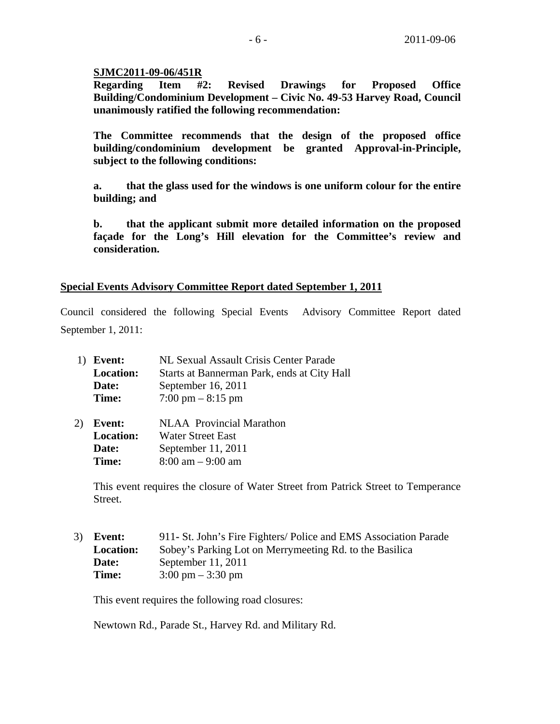# **SJMC2011-09-06/451R**

**Regarding Item #2: Revised Drawings for Proposed Office Building/Condominium Development – Civic No. 49-53 Harvey Road, Council unanimously ratified the following recommendation:** 

**The Committee recommends that the design of the proposed office building/condominium development be granted Approval-in-Principle, subject to the following conditions:** 

**a. that the glass used for the windows is one uniform colour for the entire building; and** 

**b. that the applicant submit more detailed information on the proposed façade for the Long's Hill elevation for the Committee's review and consideration.** 

# **Special Events Advisory Committee Report dated September 1, 2011**

Council considered the following Special Events Advisory Committee Report dated September 1, 2011:

| NL Sexual Assault Crisis Center Parade      |  |  |
|---------------------------------------------|--|--|
| Starts at Bannerman Park, ends at City Hall |  |  |
| September 16, 2011                          |  |  |
| $7:00 \text{ pm} - 8:15 \text{ pm}$         |  |  |
|                                             |  |  |

 2) **Event:** NLAA Provincial Marathon **Location:** Water Street East **Date:** September 11, 2011 **Time:** 8:00 am – 9:00 am

 This event requires the closure of Water Street from Patrick Street to Temperance Street.

 3) **Event:** 911**-** St. John's Fire Fighters/ Police and EMS Association Parade  **Location:** Sobey's Parking Lot on Merrymeeting Rd. to the Basilica **Date:** September 11, 2011 **Time:**  $3:00 \text{ pm} - 3:30 \text{ pm}$ 

This event requires the following road closures:

Newtown Rd., Parade St., Harvey Rd. and Military Rd.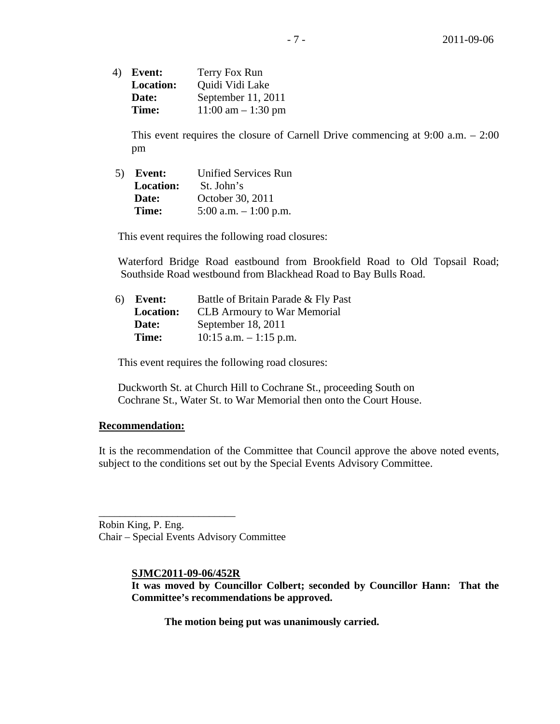4) **Event:** Terry Fox Run  **Location:** Quidi Vidi Lake **Date:** September 11, 2011 **Time:**  $11:00 \text{ am} - 1:30 \text{ pm}$ 

 This event requires the closure of Carnell Drive commencing at 9:00 a.m. – 2:00 pm

5) **Event:** Unified Services Run **Location:** St. John's **Date:** October 30, 2011 **Time:** 5:00 a.m. – 1:00 p.m.

This event requires the following road closures:

 Waterford Bridge Road eastbound from Brookfield Road to Old Topsail Road; Southside Road westbound from Blackhead Road to Bay Bulls Road.

| 6) <b>Event:</b> | Battle of Britain Parade & Fly Past |
|------------------|-------------------------------------|
| <b>Location:</b> | <b>CLB</b> Armoury to War Memorial  |
| Date:            | September 18, 2011                  |
| Time:            | $10:15$ a.m. $-1:15$ p.m.           |

This event requires the following road closures:

 Duckworth St. at Church Hill to Cochrane St., proceeding South on Cochrane St., Water St. to War Memorial then onto the Court House.

# **Recommendation:**

It is the recommendation of the Committee that Council approve the above noted events, subject to the conditions set out by the Special Events Advisory Committee.

Robin King, P. Eng. Chair – Special Events Advisory Committee

\_\_\_\_\_\_\_\_\_\_\_\_\_\_\_\_\_\_\_\_\_\_\_\_\_\_

## **SJMC2011-09-06/452R**

**It was moved by Councillor Colbert; seconded by Councillor Hann: That the Committee's recommendations be approved.** 

 **The motion being put was unanimously carried.**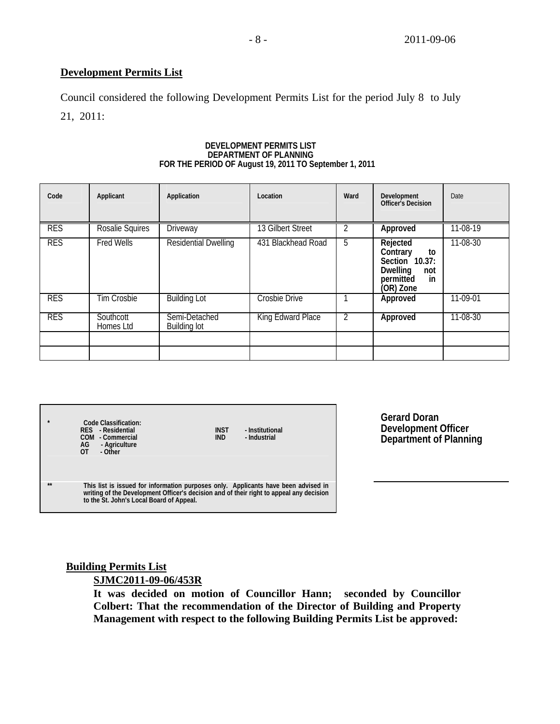# **Development Permits List**

Council considered the following Development Permits List for the period July 8 to July 21, 2011:

# **DEVELOPMENT PERMITS LIST** FOR THE PERIOD OF August 19, 2011 TO September 1, 2011

| Code       | Applicant              | Application                   | Location             | Ward           | Development<br><b>Officer's Decision</b>                                                               | Date           |
|------------|------------------------|-------------------------------|----------------------|----------------|--------------------------------------------------------------------------------------------------------|----------------|
| <b>RES</b> | Rosalie Squires        | <b>Driveway</b>               | 13 Gilbert Street    | $\mathcal{P}$  | Approved                                                                                               | 11-08-19       |
| <b>RES</b> | <b>Fred Wells</b>      | <b>Residential Dwelling</b>   | 431 Blackhead Road   | 5              | Rejected<br>Contrary<br>to<br>Section 10.37:<br><b>Dwelling</b><br>not<br>permitted<br>in<br>(OR) Zone | $11 - 08 - 30$ |
| <b>RES</b> | <b>Tim Crosbie</b>     | <b>Building Lot</b>           | <b>Crosbie Drive</b> |                | Approved                                                                                               | $11-09-01$     |
| <b>RES</b> | Southcott<br>Homes Ltd | Semi-Detached<br>Building lot | King Edward Place    | $\overline{2}$ | Approved                                                                                               | 11-08-30       |
|            |                        |                               |                      |                |                                                                                                        |                |
|            |                        |                               |                      |                |                                                                                                        |                |

| $\star$ | Code Classification:<br>RFS - Residential<br>- Commercial<br>COM<br>AG<br>- Agriculture<br>- Other<br>$\overline{0}$                                                                                                      | INST<br><b>IND</b> | - Institutional<br>- Industrial |
|---------|---------------------------------------------------------------------------------------------------------------------------------------------------------------------------------------------------------------------------|--------------------|---------------------------------|
| **      | This list is issued for information purposes only. Applicants have been advised in<br>writing of the Development Officer's decision and of their right to appeal any decision<br>to the St. John's Local Board of Appeal. |                    |                                 |

**Gerard Doran Development Officer Department of Planning**

# **Building Permits List**

# **SJMC2011-09-06/453R**

**It was decided on motion of Councillor Hann; seconded by Councillor Colbert: That the recommendation of the Director of Building and Property Management with respect to the following Building Permits List be approved:**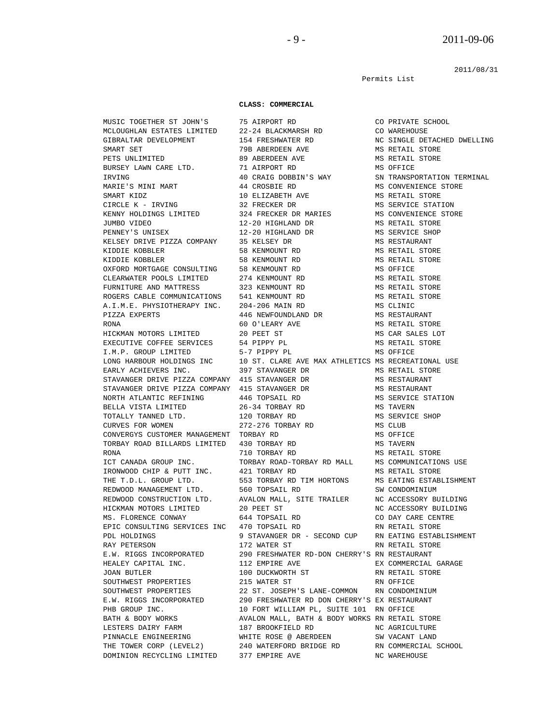2011/08/31

Permits List

#### **CLASS: COMMERCIAL**

 MUSIC TOGETHER ST JOHN'S 75 AIRPORT RD CO PRIVATE SCHOOL MCLOUGHLAN ESTATES LIMITED 22-24 BLACKMARSH RD CO WAREHOUSE<br>GIBRALTAR DEVELOPMENT 154 FRESHWATER RD NC SINGLE DE GIBRALTAR DEVELOPMENT 154 FRESHWATER RD NC SINGLE DETACHED DWELLING SMART SET 79B ABERDEEN AVE MS RETAIL STORE PETS UNLIMITED 89 ABERDEEN AVE MS RETAIL STORE BURSEY LAWN CARE LTD. **71 AIRPORT RD** MS OFFICE IRVING 40 CRAIG DOBBIN'S WAY SN TRANSPORTATION TERMINAL MARIE'S MINI MART 44 CROSBIE RD MS CONVENIENCE STORE SMART KIDZ 10 ELIZABETH AVE MS RETAIL STORE CIRCLE K - IRVING 32 FRECKER DR MS SERVICE STATION KENNY HOLDINGS LIMITED 324 FRECKER DR MARIES MS CONVENIENCE STORE JUMBO VIDEO 12-20 HIGHLAND DR MS RETAIL STORE PENNEY'S UNISEX 12-20 HIGHLAND DR MS SERVICE SHOP KELSEY DRIVE PIZZA COMPANY 35 KELSEY DR MS RESTAURANT KIDDIE KOBBLER 58 KENMOUNT RD MS RETAIL STORE KIDDIE KOBBLER 58 KENMOUNT RD MS RETAIL STORE OXFORD MORTGAGE CONSULTING 58 KENMOUNT RD MS OFFICE CLEARWATER POOLS LIMITED 274 KENMOUNT RD MS RETAIL STORE FURNITURE AND MATTRESS 323 KENMOUNT RD MS RETAIL STORE ROGERS CABLE COMMUNICATIONS 541 KENMOUNT RD MS RETAIL STORE A.I.M.E. PHYSIOTHERAPY INC. 204-206 MAIN RD MS CLINIC PIZZA EXPERTS 446 NEWFOUNDLAND DR MS RESTAURANT RONA 60 O'LEARY AVE MS RETAIL STORE HICKMAN MOTORS LIMITED 20 PEET ST MS CAR SALES LOT EXECUTIVE COFFEE SERVICES 54 PIPPY PL MS RETAIL STORE I.M.P. GROUP LIMITED 5-7 PIPPY PL MS OFFICE LONG HARBOUR HOLDINGS INC 10 ST. CLARE AVE MAX ATHLETICS MS RECREATIONAL USE EARLY ACHIEVERS INC. 397 STAVANGER DR MS RETAIL STORE STAVANGER DRIVE PIZZA COMPANY 415 STAVANGER DR MS RESTAURANT STAVANGER DRIVE PIZZA COMPANY 415 STAVANGER DR MS RESTAURANT NORTH ATLANTIC REFINING 446 TOPSAIL RD 6 MS SERVICE STATION BELLA VISTA LIMITED  $26-34$  TORBAY RD MS TAVERN TOTALLY TANNED LTD. 120 TORBAY RD MS SERVICE SHOP CURVES FOR WOMEN 272-276 TORBAY RD MS CLUB CONVERGYS CUSTOMER MANAGEMENT TORBAY RD MS OFFICE TORBAY ROAD BILLARDS LIMITED 430 TORBAY RD MS TAVERN RONA 710 TORBAY RD MS RETAIL STORE ICT CANADA GROUP INC. TORBAY ROAD-TORBAY RD MALL MS COMMUNICATIONS USE ICI CANADA GROOF INC. TO COLORE TO THE CONDUCT OF THE RETAIL STORE IRONWOOD CHIP & PUTT INC. 421 TORBAY RD THE T.D.L. GROUP LTD. 553 TORBAY RD TIM HORTONS MS EATING ESTABLISHMENT REDWOOD MANAGEMENT LTD. 560 TOPSAIL RD SW CONDOMINIUM REDWOOD CONSTRUCTION LTD. AVALON MALL, SITE TRAILER NC ACCESSORY BUILDING HICKMAN MOTORS LIMITED 20 PEET ST NO ACCESSORY BUILDING MS. FLORENCE CONWAY 644 TOPSAIL RD CO DAY CARE CENTRE EPIC CONSULTING SERVICES INC 470 TOPSAIL RD RN RETAIL STORE PDL HOLDINGS 9 STAVANGER DR - SECOND CUP RN EATING ESTABLISHMENT RAY PETERSON 172 WATER ST RN RETAIL STORE E.W. RIGGS INCORPORATED 290 FRESHWATER RD-DON CHERRY'S RN RESTAURANT HEALEY CAPITAL INC. 290 FRESHWATER AVE 112 EMPIRE AVE **EX COMMERCIAL GARAGE**  JOAN BUTLER 100 DUCKWORTH ST RN RETAIL STORE SOUTHWEST PROPERTIES 215 WATER ST AND FRICE SOUTHWEST PROPERTIES 22 ST. JOSEPH'S LANE-COMMON RN CONDOM 22 ST. JOSEPH'S LANE-COMMON RN CONDOMINIUM E.W. RIGGS INCORPORATED 290 FRESHWATER RD DON CHERRY'S EX RESTAURANT PHB GROUP INC.  $10$  FORT WILLIAM PL, SUITE 101 RN OFFICE BATH & BODY WORKS AVALON MALL, BATH & BODY WORKS RN RETAIL STORE LESTERS DAIRY FARM 187 BROOKFIELD RD NC AGRICULTURE PINNACLE ENGINEERING WHITE ROSE @ ABERDEEN SW VACANT LAND<br>THE TOWER CORP (LEVEL2) 240 WATERFORD BRIDGE RD RN COMMERCIAL THE TOWER CORP (LEVEL2) 240 WATERFORD BRIDGE RD RN COMMERCIAL SCHOOL DOMINION RECYCLING LIMITED 377 EMPIRE AVE  $\sim$  NC WAREHOUSE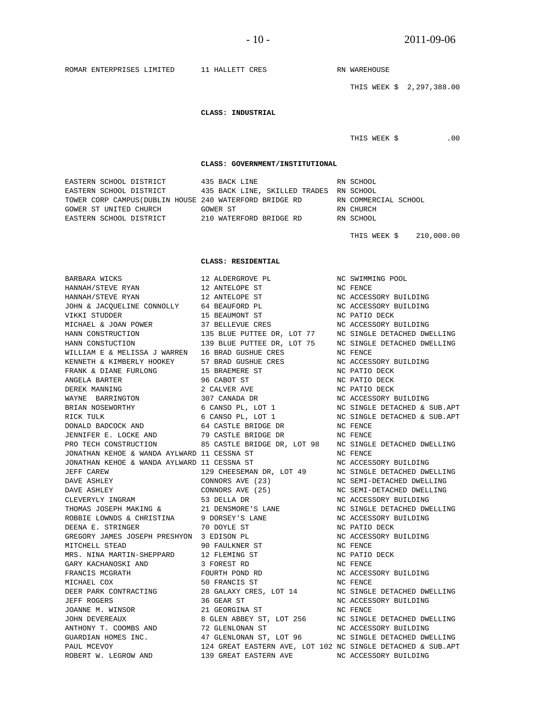ROMAR ENTERPRISES LIMITED 11 HALLETT CRES RN WAREHOUSE THIS WEEK \$ 2,297,388.00  **CLASS: INDUSTRIAL**  THIS WEEK \$ .00  **CLASS: GOVERNMENT/INSTITUTIONAL**  EASTERN SCHOOL DISTRICT 435 BACK LINE RN SCHOOL RASTERN SCHOOL DISTRICT 435 BACK LINE, SKILLED TRADES RN SCHOOL 435 BACK LINE, SKILLED TRADES RN SCHOOL TOWER CORP CAMPUS(DUBLIN HOUSE 240 WATERFORD BRIDGE RD RN COMMERCIAL SCHOOL GOWER ST UNITED CHURCH GOWER ST RN CHURCH EASTERN SCHOOL DISTRICT 210 WATERFORD BRIDGE RD THIS WEEK \$ 210,000.00  **CLASS: RESIDENTIAL**  BARBARA WICKS 12 ALDERGROVE PL NC SWIMMING POOL HANNAH/STEVE RYAN 12 ANTELOPE ST NC FENCE HANNAH/STEVE RYAN 12 ANTELOPE ST NC ACCESSORY BUILDING JOHN & JACQUELINE CONNOLLY 64 BEAUFORD PL NC ACCESSORY BUILDING VIKKI STUDDER 15 BEAUMONT ST NC PATIO DECK MICHAEL & JOAN POWER 37 BELLEVUE CRES NO ACCESSORY BUILDING<br>HANN CONSTRUCTION 135 BLUE PUTTEE DR, LOT 77 NC SINGLE DETACHED DW HANN CONSTRUCTION 135 BLUE PUTTEE DR, LOT 77 NC SINGLE DETACHED DWELLING HANN CONSTUCTION 139 BLUE PUTTEE DR, LOT 75 NC SINGLE DETACHED DWELLING WILLIAM E & MELISSA J WARREN 16 BRAD GUSHUE CRES NO FENCE KENNETH & KIMBERLY HOOKEY 57 BRAD GUSHUE CRES NC ACCESSORY BUILDING FRANK & DIANE FURLONG 15 BRAEMERE ST NC PATIO DECK WILLIAM E & MELLOOR J ...<br>
KENNETH & KIMBERLY HOOKEY 57 BRAD GUSHUE CREAR<br>
FRANK & DIANE FURLONG 15 BRAEMERE ST<br>
ANGELA BARTER 96 CABOT ST<br>
DEREK MANNING 2 CALVER AVE DEREK MANNING  $\begin{array}{ccc} 2 & \text{CALVER} & \text{AVE} & \text{NC} & \text{PATIO} \end{array}$ WAYNE BARRINGTON 307 CANADA DR NC ACCESSORY BUILDING BRIAN NOSEWORTHY 6 CANSO PL, LOT 1 NC SINGLE DETACHED & SUB.APT RICK TULK 6 CANSO PL, LOT 1 NC SINGLE DETACHED & SUB.APT DONALD BADCOCK AND 64 CASTLE BRIDGE DR NC FENCE JENNIFER E. LOCKE AND 79 CASTLE BRIDGE DR NC FENCE PRO TECH CONSTRUCTION 85 CASTLE BRIDGE DR, LOT 98 NC SINGLE DETACHED DWELLING JONATHAN KEHOE & WANDA AYLWARD 11 CESSNA ST NO NC FENCE JONATHAN KEHOE & WANDA AYLWARD 11 CESSNA ST NC ACCESSORY BUILDING JEFF CAREW 129 CHEESEMAN DR, LOT 49 NC SINGLE DETACHED DWELLING DOMITHER REDGET AND RESERVED THE SERVED ON THE CAREWARD DAVE ASHLEY<br>DAVE ASHLEY CONNORS AVE (23) CONNORS AVE (25) DAVE ASHLEY CONNORS AVE (25) NC SEMI-DETACHED DWELLING CLEVERYLY INGRAM 53 DELLA DR NC ACCESSORY BUILDING THOMAS JOSEPH MAKING & 21 DENSMORE'S LANE NC SINGLE DETACHED DWELLING ROBBIE LOWNDS & CHRISTINA 9 DORSEY'S LANE NC ACCESSORY BUILDING DEENA E. STRINGER 70 DOYLE ST NC PATIO DECK GREGORY JAMES JOSEPH PRESHYON 3 EDISON PL NC ACCESSORY BUILDING MITCHELL STEAD 90 FAULKNER ST<br>
MRS. NINA MARTIN-SHEPPARD 12 FLEMING ST<br>
GARY KACHANOSKI AND 3 FOREST RD MRS. NINA MARTIN-SHEPPARD GARY KACHANOSKI AND FRANCIS MCGRATH FOURTH POURTH POND RD NC ACCESSORY BUILDING<br>MICHAEL COX 50 FRANCIS ST NC FENCE MICHAEL COX 60 SO FRANCIS ST SO NO FENCE DEER PARK CONTRACTING 28 GALAXY CRES, LOT 14 NO SINGLE DETACHED DWELLING JEFF ROGERS 36 GEAR ST NC ACCESSORY BUILDING JOANNE M. WINSOR 21 GEORGINA ST NC FENCE JOHN DEVEREAUX 8 GLEN ABBEY ST, LOT 256 NC SINGLE DETACHED DWELLING ANTHONY T. COOMBS AND 72 GLENLONAN ST NC ACCESSORY BUILDING ANTHONY T. COOMBS AND 72 GLENLONAN ST NC ACCESSORY BUILDING GUARDIAN HOMES INC. 47 GLENLONAN ST, LOT 96 NC SINGLE DETACHED DWELLING PAUL MCEVOY 124 GREAT EASTERN AVE, LOT 102 NC SINGLE DETACHED & SUB.APT ROBERT W. LEGROW AND 139 GREAT EASTERN AVE NC ACCESSORY BUILDING 139 GREAT EASTERN AVE NC ACCESSORY BUILDING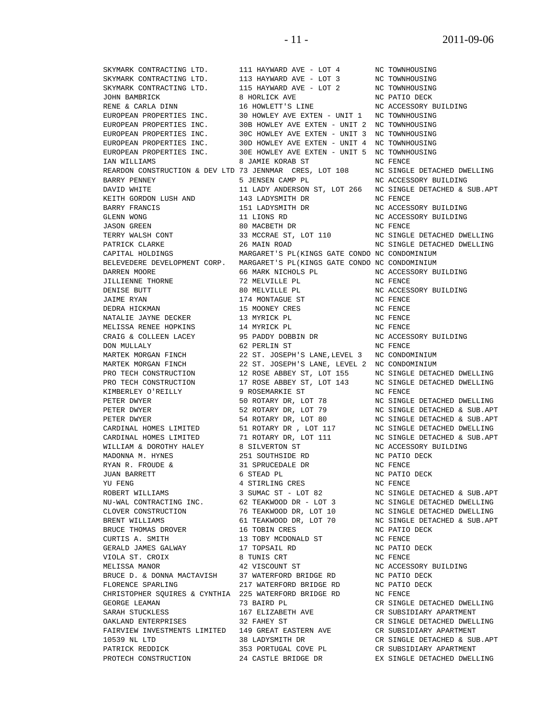SKYMARK CONTRACTING LTD. 111 HAYWARD AVE - LOT 4 NC TOWNHOUSING YU FENG<br>
ROBERT WILLIAMS<br>
3 SUMAC ST - LOT 82 FLORENCE SPARLING 217 WATERFORD BRIDGE RD

SKYMARK CONTRACTING LTD. 113 HAYWARD AVE - LOT 3 NC TOWNHOUSING SKYMARK CONTRACTING LTD. 115 HAYWARD AVE - LOT 2 NC TOWNHOUSING JOHN BAMBRICK 8 HORLICK AVE NO PATIO DECK RENE & CARLA DINN 16 HOWLETT'S LINE NC ACCESSORY BUILDING EUROPEAN PROPERTIES INC. 30 HOWLEY AVE EXTEN - UNIT 1 NC TOWNHOUSING EUROPEAN PROPERTIES INC. 30B HOWLEY AVE EXTEN - UNIT 2 NC TOWNHOUSING<br>EUROPEAN PROPERTIES INC. 30C HOWLEY AVE EXTEN - UNIT 3 NC TOWNHOUSING EUROPEAN PROPERTIES INC. 30C HOWLEY AVE EXTEN - UNIT 3 NC TOWNHOUSING EUROPEAN PROPERTIES INC. 30D HOWLEY AVE EXTEN - UNIT 4 NC TOWNHOUSING 30E HOWLEY AVE EXTEN - UNIT 5 NC TOWNHOUSING IAN WILLIAMS 8 JAMIE KORAB ST NC FENCE REARDON CONSTRUCTION & DEV LTD 73 JENNMAR CRES, LOT 108 NC SINGLE DETACHED DWELLING BARRY PENNEY 5 JENSEN CAMP PL NC ACCESSORY BUILDING KEITH GORDON LUSH AND 143 LADYSMITH DR NC FENCE BARRY FRANCIS 151 LADYSMITH DR NC ACCESSORY BUILDING GLENN WONG 11 LIONS RD NC ACCESSORY BUILDING JASON GREEN 80 MACBETH DR NC FENCE TERRY WALSH CONT 33 MCCRAE ST, LOT 110 NC SINGLE DETACHED DWELLING PATRICK CLARKE 26 MAIN ROAD NC SINGLE DETACHED DWELLING CAPITAL HOLDINGS MARGARET'S PL(KINGS GATE CONDO NC CONDOMINIUM BELEVEDERE DEVELOPMENT CORP. MARGARET'S PL(KINGS GATE CONDO NC CONDOMINIUM DARREN MOORE 66 MARK NICHOLS PL NC ACCESSORY BUILDING JILLIENNE THORNE 72 MELVILLE PL NC FENCE DENISE BUTT 80 MELVILLE PL NC ACCESSORY BUILDING JAIME RYAN 174 MONTAGUE ST NC FENCE DEDRA HICKMAN 15 MOONEY CRES NO FENCE NATALIE JAYNE DECKER 13 MYRICK PL NC FENCE MELISSA RENEE HOPKINS 14 MYRICK PL NO ON THE NC FENCE CRAIG & COLLEEN LACEY 95 PADDY DOBBIN DR NC ACCESSORY BUILDING DON MULLALY 62 PERLIN ST NC FENCE MARTEK MORGAN FINCH 22 ST. JOSEPH'S LANE,LEVEL 3 NC CONDOMINIUM MARTEK MORGAN FINCH 22 ST. JOSEPH'S LANE, LEVEL 2 NC CONDOMINIUM KIMBERLEY O'REILLY 9 ROSEMARKIE ST NC FENCE WILLIAM & DOROTHY HALEY 8 SILVERTON ST NC ACCESSORY BUILDING MADONNA M. HYNES 251 SOUTHSIDE RD NC PATIO DECK RYAN R. FROUDE & 31 SPRUCEDALE DR NC FENCE JUAN BARRETT 6 STEAD PL NC PATIO DECK BRUCE THOMAS DROVER 16 TOBIN CRES NC PATIO DECK CURTIS A. SMITH 13 TOBY MCDONALD ST NC FENCE GERALD JAMES GALWAY **17 TOPSAIL RD** NC PATIO DECK VIOLA ST. CROIX 8 TUNIS CRT NC FENCE MELISSA MANOR 42 VISCOUNT ST NC ACCESSORY BUILDING BRUCE D. & DONNA MACTAVISH 37 WATERFORD BRIDGE RD NC PATIO DECK FLORENCE SPARLING 217 WATERFORD BRIDGE RD NC PATIO DECK CHRISTOPHER SQUIRES & CYNTHIA 225 WATERFORD BRIDGE RD NC FENCE GEORGE LEAMAN 73 BAIRD PL CR SINGLE DETACHED DWELLING SARAH STUCKLESS 167 ELIZABETH AVE CR SUBSIDIARY APARTMENT OAKLAND ENTERPRISES 32 FAHEY ST CR SINGLE DETACHED DWELLING FAIRVIEW INVESTMENTS LIMITED 149 GREAT EASTERN AVE CR SUBSIDIARY APARTMENT PATRICK REDDICK 353 PORTUGAL COVE PL CR SUBSIDIARY APARTMENT PROTECH CONSTRUCTION 24 CASTLE BRIDGE DR EX SINGLE DETACHED DWELLING

 DAVID WHITE 11 LADY ANDERSON ST, LOT 266 NC SINGLE DETACHED & SUB.APT PRO TECH CONSTRUCTION 12 ROSE ABBEY ST, LOT 155 NC SINGLE DETACHED DWELLING PRO TECH CONSTRUCTION 17 ROSE ABBEY ST, LOT 143 NC SINGLE DETACHED DWELLING PETER DWYER **12 SO ROTARY DR, LOT 78** NO SINGLE DETACHED DWELLING PETER DWYER 52 ROTARY DR, LOT 79 NC SINGLE DETACHED & SUB.APT PETER DWYER 54 ROTARY DR, LOT 80 NC SINGLE DETACHED & SUB.APT CARDINAL HOMES LIMITED 51 ROTARY DR , LOT 117 NC SINGLE DETACHED DWELLING CARDINAL HOMES LIMITED 71 ROTARY DR, LOT 111 NC SINGLE DETACHED & SUB.APT ROBERT WILLIAMS 3 SUMAC ST - LOT 82 NC SINGLE DETACHED & SUB.APT NU-WAL CONTRACTING INC. 62 TEAKWOOD DR - LOT 3 NC SINGLE DETACHED DWELLING CLOVER CONSTRUCTION 76 TEAKWOOD DR, LOT 10 NC SINGLE DETACHED DWELLING BRENT WILLIAMS 61 TEAKWOOD DR, LOT 70 NC SINGLE DETACHED & SUB.APT 10539 NL LTD 38 LADYSMITH DR CR SINGLE DETACHED & SUB.APT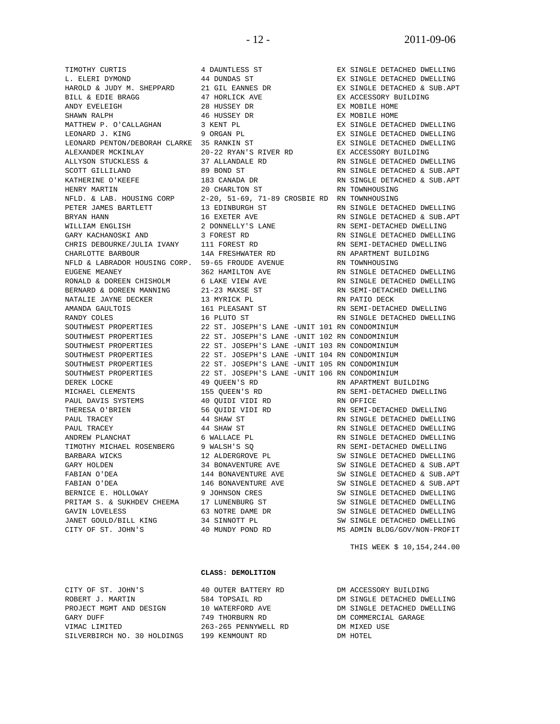WILLIAM ENGLISH 2 DONNELLY'S LANE GARY KACHANOSKI AND 3 FOREST RD CHRIS DEBOURKE/JULIA IVANY 111 FOREST RD NATALIE JAYNE DECKER 13 MYRICK PL RN PATIO DECK PAUL DAVIS SYSTEMS 40 QUIDI VIDI RD<br>THERESA O'BRIEN 56 QUIDI VIDI RD

TIMOTHY CURTIS **1 DAUNTLESS ST** EX SINGLE DETACHED DWELLING L. ELERI DYMOND 44 DUNDAS ST EX SINGLE DETACHED DWELLING HAROLD & JUDY M. SHEPPARD 21 GIL EANNES DR EX SINGLE DETACHED & SUB.APT BILL & EDIE BRAGG 47 HORLICK AVE EX ACCESSORY BUILDING ANDY EVELEIGH 28 HUSSEY DR EX MOBILE HOME SHAWN RALPH 1980 1991 120 46 HUSSEY DR 1992 12 EX MOBILE HOME MATTHEW P. O'CALLAGHAN 3 KENT PL EX SINGLE DETACHED DWELLING LEONARD J. KING 9 ORGAN PL EX SINGLE DETACHED DWELLING LEONARD PENTON/DEBORAH CLARKE 35 RANKIN ST  $$\tt EX$  SINGLE DETACHED DWELLING ALEXANDER MCKINLAY  $20-22$  RYAN'S RIVER RD  $$\tt EX$  ACCESSORY BUILDING ALEXANDER MCKINLAY 20-22 RYAN'S RIVER RD EX ACCESSORY BUILDING ALLYSON STUCKLESS & 37 ALLANDALE RD RN SINGLE DETACHED DWELLING SCOTT GILLILAND 69 BOND ST RN SINGLE DETACHED & SUB.APT KATHERINE O'KEEFE 183 CANADA DR RN SINGLE DETACHED & SUB.APT HENRY MARTIN 20 CHARLTON ST RN TOWNHOUSING NFLD. & LAB. HOUSING CORP 2-20, 51-69, 71-89 CROSBIE RD RN TOWNHOUSING<br>PETER JAMES BARTLETT 13 EDINBURGH ST RN SINGLE DETA 13 EDINBURGH ST RN SINGLE DETACHED DWELLING BRYAN HANN 16 EXETER AVE RN SINGLE DETACHED & SUB.APT CHARLOTTE BARBOUR 14A FRESHWATER RD RN APARTMENT BUILDING NFLD & LABRADOR HOUSING CORP. 59-65 FROUDE AVENUE RN TOWNHOUSING EUGENE MEANEY 362 HAMILTON AVE RN SINGLE DETACHED DWELLING EUGENE MEANE:<br>RONALD & DOREEN CHISHOLM 6 LAKE VIEW AVE RN SINGLE DETACHED DWELLING<br>BERNARD & DOREEN MANNING 21-23 MAXSE ST RN SEMI-DETACHED DWELLING BERNARD & DOREEN MANNING  $21-23$  MAXSE ST RN SEMI-DETACHED RATALIE JAYNE DECKER 13 MYRICK PL 161 PLEASANT ST RN SEMI-DETACHED DWELLING RANDY COLES 16 PLUTO ST RN SINGLE DETACHED DWELLING 22 ST. JOSEPH'S LANE -UNIT 101 RN CONDOMINIUM SOUTHWEST PROPERTIES 22 ST. JOSEPH'S LANE -UNIT 102 RN CONDOMINIUM<br>SOUTHWEST PROPERTIES 22 ST. JOSEPH'S LANE -UNIT 103 RN CONDOMINIUM 22 ST. JOSEPH'S LANE -UNIT 103 RN CONDOMINIUM SOUTHWEST PROPERTIES 22 ST. JOSEPH'S LANE -UNIT 104 RN CONDOMINIUM SOUTHWEST PROPERTIES 22 ST. JOSEPH'S LANE -UNIT 105 RN CONDOMINIUM SOUTHWEST PROPERTIES 22 ST. JOSEPH'S LANE -UNIT 106 RN CONDOMINIUM<br>DEREK LOCKE 29 QUEEN'S RD RN APARTMENT B DEREK LOCKE 49 QUEEN'S RD RN APARTMENT BUILDING MICHAEL CLEMENTS 155 QUEEN'S RD RN SEMI-DETACHED DWELLING PAUL TRACEY 44 SHAW ST RN SINGLE DETACHED DWELLING PAUL TRACEY 44 SHAW ST RN SINGLE DETACHED DWELLING ANDREW PLANCHAT 6 WALLACE PL RN SINGLE DETACHED DWELLING TIMOTHY MICHAEL ROSENBERG 9 WALSH'S SQ RN SEMI-DETACHED DWELLING BARBARA WICKS 12 ALDERGROVE PL SW SINGLE DETACHED DWELLING GARY HOLDEN 34 BONAVENTURE AVE SW SINGLE DETACHED & SUB.APT FABIAN O'DEA 144 BONAVENTURE AVE SW SINGLE DETACHED & SUB.APT FABIAN O'DEA 146 BONAVENTURE AVE SW SINGLE DETACHED & SUB.APT BERNICE E. HOLLOWAY 9 JOHNSON CRES SW SINGLE DETACHED DWELLING<br>PRITAM S. & SUKHDEV CHEEMA 17 LUNENBURG ST SW SINGLE DETACHED DWELLING PRITAM S. & SUKHDEV CHEEMA 17 LUNENBURG ST SW SINGLE DETACHED DWELLING GAVIN LOVELESS 63 NOTRE DAME DR SW SINGLE DETACHED DWELLING

RN SINGLE DETACHED DWELLING<br>RN SEMI-DETACHED DWELLING RN SEMI-DETACHED DWELLING<br>RN SINGLE DETACHED DWELLING JANET GOULD/BILL KING 34 SINNOTT PL SW SINGLE DETACHED DWELLING CITY OF ST. JOHN'S 40 MUNDY POND RD MS ADMIN BLDG/GOV/NON-PROFIT

THIS WEEK \$ 10,154,244.00

### **CLASS: DEMOLITION**

CITY OF ST. JOHN'S 40 OUTER BATTERY RD DM ACCESSORY BUILDING ROBERT J. MARTIN 584 TOPSAIL RD DM SINGLE DETACHED DWELLING<br>PROJECT MGMT AND DESIGN 10 WATERFORD AVE DM SINGLE DETACHED DWELLING PROJECT MGMT AND DESIGN 10 WATERFORD AVE DM SINGLE DETACHED DWELLING GARY DUFF 749 THORBURN RD DM COMMERCIAL GARAGE VIMAC LIMITED 263-265 PENNYWELL RD DM MIXED USE<br>SILVERBIRCH NO. 30 HOLDINGS 199 KENMOUNT RD DM HOTEL SILVERBIRCH NO. 30 HOLDINGS 199 KENMOUNT RD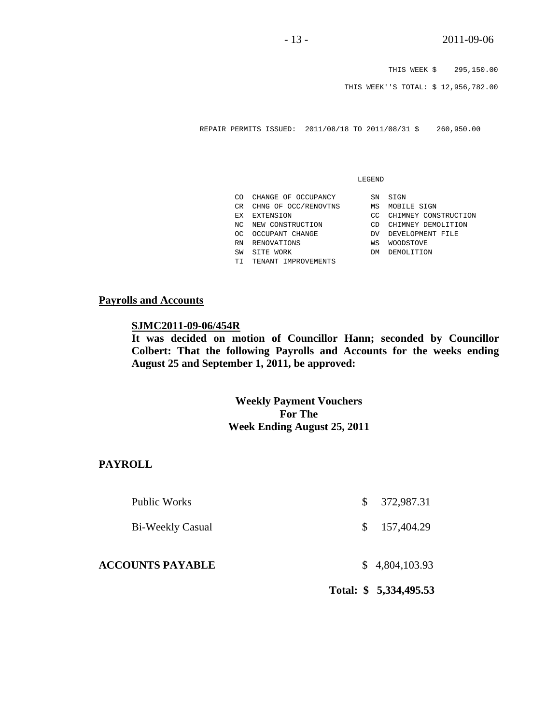THIS WEEK \$ 295,150.00

THIS WEEK''S TOTAL: \$ 12,956,782.00

REPAIR PERMITS ISSUED: 2011/08/18 TO 2011/08/31 \$ 260,950.00

### LEGEND

| ന   | CHANGE OF OCCUPANCY  | SN | SIGN         |
|-----|----------------------|----|--------------|
| CR. | CHNG OF OCC/RENOVTNS | ΜS | MOBII        |
| ЕX  | EXTENSION            | CΩ | CHIM         |
| NC. | NEW CONSTRUCTION     | CD | CHIMM        |
| OC. | OCCUPANT CHANGE      | DV | <b>DEVEI</b> |
| RN  | RENOVATIONS          | WS | WOODS        |
| SW  | SITE WORK            | DМ | <b>DEMOI</b> |
| TТ  | TENANT IMPROVEMENTS  |    |              |

- MS MOBILE SIGN
- CC CHIMNEY CONSTRUCTION
- CD CHIMNEY DEMOLITION
- DV DEVELOPMENT FILE
- WS WOODSTOVE
- DM DEMOLITION

## **Payrolls and Accounts**

## **SJMC2011-09-06/454R**

**It was decided on motion of Councillor Hann; seconded by Councillor Colbert: That the following Payrolls and Accounts for the weeks ending August 25 and September 1, 2011, be approved:** 

# **Weekly Payment Vouchers For The Week Ending August 25, 2011**

# **PAYROLL**

|                         |     | Total: \$5,334,495.53 |
|-------------------------|-----|-----------------------|
| <b>ACCOUNTS PAYABLE</b> |     | \$4,804,103.93        |
| <b>Bi-Weekly Casual</b> | \$. | 157,404.29            |
| Public Works            | S.  | 372,987.31            |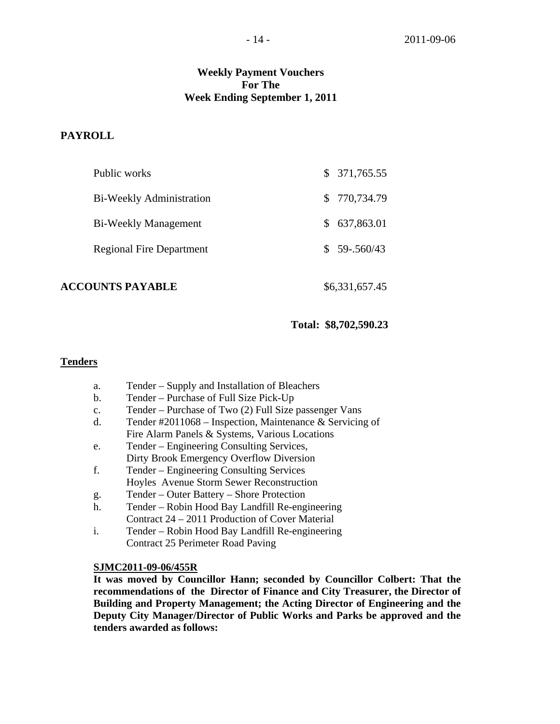# **Weekly Payment Vouchers For The Week Ending September 1, 2011**

# **PAYROLL**

| <b>ACCOUNTS PAYABLE</b>         | \$6,331,657.45   |
|---------------------------------|------------------|
| <b>Regional Fire Department</b> | $$59-.560/43$    |
| <b>Bi-Weekly Management</b>     | 637,863.01<br>S. |
| Bi-Weekly Administration        | \$770,734.79     |
| Public works                    | \$371,765.55     |

## **Total: \$8,702,590.23**

# **Tenders**

- a. Tender Supply and Installation of Bleachers
- b. Tender Purchase of Full Size Pick-Up
- c. Tender Purchase of Two (2) Full Size passenger Vans
- d. Tender #2011068 Inspection, Maintenance & Servicing of Fire Alarm Panels & Systems, Various Locations
- e. Tender Engineering Consulting Services, Dirty Brook Emergency Overflow Diversion
- f. Tender Engineering Consulting Services Hoyles Avenue Storm Sewer Reconstruction
- g. Tender Outer Battery Shore Protection
- h. Tender Robin Hood Bay Landfill Re-engineering Contract 24 – 2011 Production of Cover Material
- i. Tender Robin Hood Bay Landfill Re-engineering Contract 25 Perimeter Road Paving

## **SJMC2011-09-06/455R**

**It was moved by Councillor Hann; seconded by Councillor Colbert: That the recommendations of the Director of Finance and City Treasurer, the Director of Building and Property Management; the Acting Director of Engineering and the Deputy City Manager/Director of Public Works and Parks be approved and the tenders awarded as follows:**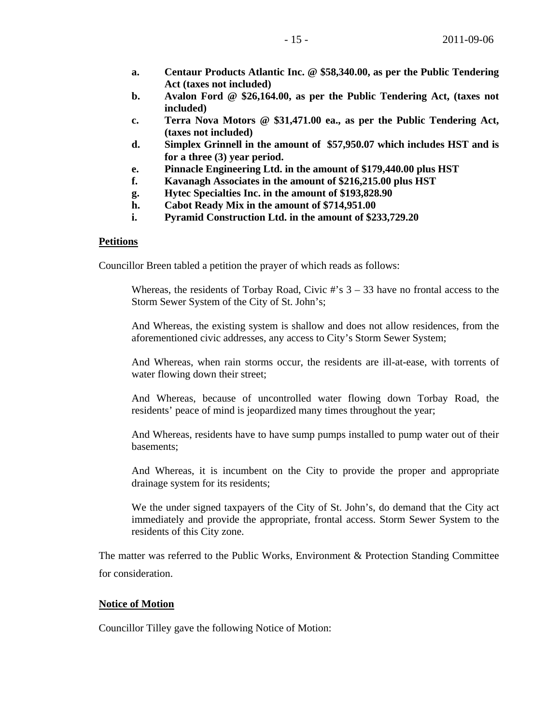- **a. Centaur Products Atlantic Inc. @ \$58,340.00, as per the Public Tendering Act (taxes not included)**
- **b. Avalon Ford @ \$26,164.00, as per the Public Tendering Act, (taxes not included)**
- **c. Terra Nova Motors @ \$31,471.00 ea., as per the Public Tendering Act, (taxes not included)**
- **d. Simplex Grinnell in the amount of \$57,950.07 which includes HST and is for a three (3) year period.**
- **e. Pinnacle Engineering Ltd. in the amount of \$179,440.00 plus HST**
- **f. Kavanagh Associates in the amount of \$216,215.00 plus HST**
- **g. Hytec Specialties Inc. in the amount of \$193,828.90**
- **h. Cabot Ready Mix in the amount of \$714,951.00**
- **i. Pyramid Construction Ltd. in the amount of \$233,729.20**

## **Petitions**

Councillor Breen tabled a petition the prayer of which reads as follows:

Whereas, the residents of Torbay Road, Civic  $\#$ 's  $3 - 33$  have no frontal access to the Storm Sewer System of the City of St. John's;

 And Whereas, the existing system is shallow and does not allow residences, from the aforementioned civic addresses, any access to City's Storm Sewer System;

 And Whereas, when rain storms occur, the residents are ill-at-ease, with torrents of water flowing down their street;

 And Whereas, because of uncontrolled water flowing down Torbay Road, the residents' peace of mind is jeopardized many times throughout the year;

 And Whereas, residents have to have sump pumps installed to pump water out of their basements;

 And Whereas, it is incumbent on the City to provide the proper and appropriate drainage system for its residents;

 We the under signed taxpayers of the City of St. John's, do demand that the City act immediately and provide the appropriate, frontal access. Storm Sewer System to the residents of this City zone.

The matter was referred to the Public Works, Environment & Protection Standing Committee for consideration.

## **Notice of Motion**

Councillor Tilley gave the following Notice of Motion: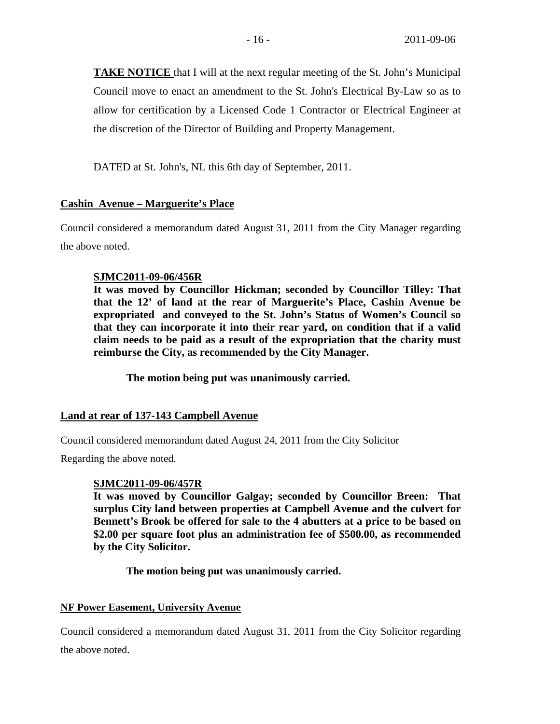**TAKE NOTICE** that I will at the next regular meeting of the St. John's Municipal Council move to enact an amendment to the St. John's Electrical By-Law so as to allow for certification by a Licensed Code 1 Contractor or Electrical Engineer at the discretion of the Director of Building and Property Management.

DATED at St. John's, NL this 6th day of September, 2011.

# **Cashin Avenue – Marguerite's Place**

Council considered a memorandum dated August 31, 2011 from the City Manager regarding the above noted.

# **SJMC2011-09-06/456R**

**It was moved by Councillor Hickman; seconded by Councillor Tilley: That that the 12' of land at the rear of Marguerite's Place, Cashin Avenue be expropriated and conveyed to the St. John's Status of Women's Council so that they can incorporate it into their rear yard, on condition that if a valid claim needs to be paid as a result of the expropriation that the charity must reimburse the City, as recommended by the City Manager.** 

 **The motion being put was unanimously carried.** 

# **Land at rear of 137-143 Campbell Avenue**

Council considered memorandum dated August 24, 2011 from the City Solicitor

Regarding the above noted.

# **SJMC2011-09-06/457R**

**It was moved by Councillor Galgay; seconded by Councillor Breen: That surplus City land between properties at Campbell Avenue and the culvert for Bennett's Brook be offered for sale to the 4 abutters at a price to be based on \$2.00 per square foot plus an administration fee of \$500.00, as recommended by the City Solicitor.** 

**The motion being put was unanimously carried.** 

# **NF Power Easement, University Avenue**

Council considered a memorandum dated August 31, 2011 from the City Solicitor regarding the above noted.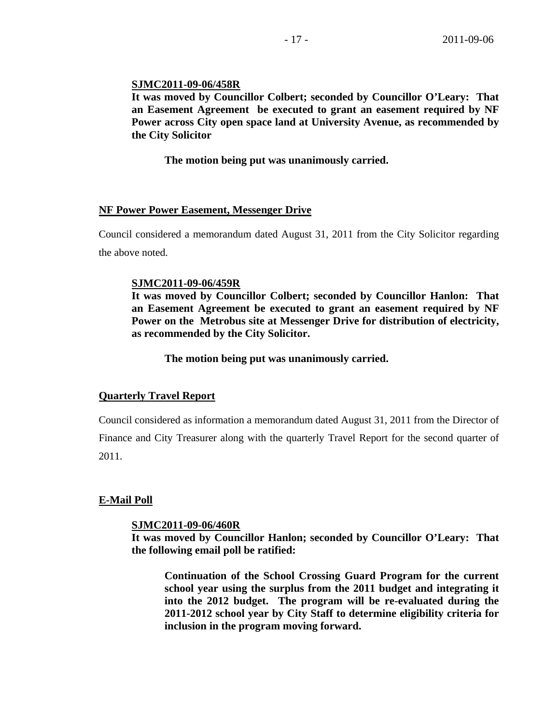# **SJMC2011-09-06/458R**

**It was moved by Councillor Colbert; seconded by Councillor O'Leary: That an Easement Agreement be executed to grant an easement required by NF Power across City open space land at University Avenue, as recommended by the City Solicitor** 

 **The motion being put was unanimously carried.** 

## **NF Power Power Easement, Messenger Drive**

Council considered a memorandum dated August 31, 2011 from the City Solicitor regarding the above noted.

## **SJMC2011-09-06/459R**

**It was moved by Councillor Colbert; seconded by Councillor Hanlon: That an Easement Agreement be executed to grant an easement required by NF Power on the Metrobus site at Messenger Drive for distribution of electricity, as recommended by the City Solicitor.** 

 **The motion being put was unanimously carried.** 

# **Quarterly Travel Report**

Council considered as information a memorandum dated August 31, 2011 from the Director of Finance and City Treasurer along with the quarterly Travel Report for the second quarter of 2011.

# **E-Mail Poll**

## **SJMC2011-09-06/460R**

**It was moved by Councillor Hanlon; seconded by Councillor O'Leary: That the following email poll be ratified:** 

**Continuation of the School Crossing Guard Program for the current school year using the surplus from the 2011 budget and integrating it into the 2012 budget. The program will be re-evaluated during the 2011-2012 school year by City Staff to determine eligibility criteria for inclusion in the program moving forward.**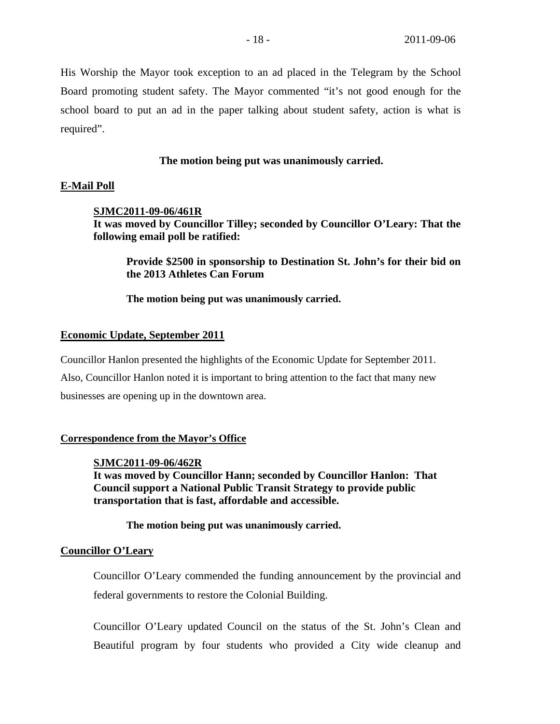His Worship the Mayor took exception to an ad placed in the Telegram by the School Board promoting student safety. The Mayor commented "it's not good enough for the school board to put an ad in the paper talking about student safety, action is what is required".

# **The motion being put was unanimously carried.**

# **E-Mail Poll**

# **SJMC2011-09-06/461R**

**It was moved by Councillor Tilley; seconded by Councillor O'Leary: That the following email poll be ratified:** 

 **Provide \$2500 in sponsorship to Destination St. John's for their bid on the 2013 Athletes Can Forum** 

**The motion being put was unanimously carried.** 

### **Economic Update, September 2011**

Councillor Hanlon presented the highlights of the Economic Update for September 2011. Also, Councillor Hanlon noted it is important to bring attention to the fact that many new businesses are opening up in the downtown area.

# **Correspondence from the Mayor's Office**

## **SJMC2011-09-06/462R**

**It was moved by Councillor Hann; seconded by Councillor Hanlon: That Council support a National Public Transit Strategy to provide public transportation that is fast, affordable and accessible.** 

**The motion being put was unanimously carried.** 

## **Councillor O'Leary**

Councillor O'Leary commended the funding announcement by the provincial and federal governments to restore the Colonial Building.

Councillor O'Leary updated Council on the status of the St. John's Clean and Beautiful program by four students who provided a City wide cleanup and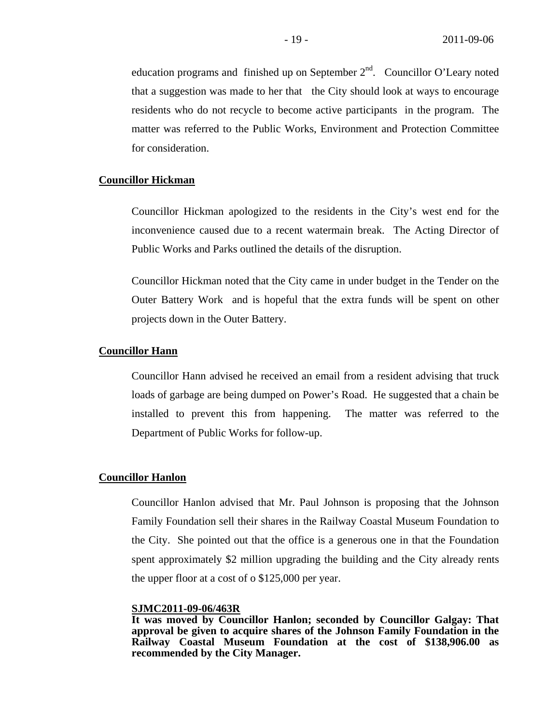education programs and finished up on September  $2<sup>nd</sup>$ . Councillor O'Leary noted that a suggestion was made to her that the City should look at ways to encourage residents who do not recycle to become active participants in the program. The matter was referred to the Public Works, Environment and Protection Committee for consideration.

# **Councillor Hickman**

Councillor Hickman apologized to the residents in the City's west end for the inconvenience caused due to a recent watermain break. The Acting Director of Public Works and Parks outlined the details of the disruption.

Councillor Hickman noted that the City came in under budget in the Tender on the Outer Battery Work and is hopeful that the extra funds will be spent on other projects down in the Outer Battery.

## **Councillor Hann**

Councillor Hann advised he received an email from a resident advising that truck loads of garbage are being dumped on Power's Road. He suggested that a chain be installed to prevent this from happening. The matter was referred to the Department of Public Works for follow-up.

## **Councillor Hanlon**

Councillor Hanlon advised that Mr. Paul Johnson is proposing that the Johnson Family Foundation sell their shares in the Railway Coastal Museum Foundation to the City. She pointed out that the office is a generous one in that the Foundation spent approximately \$2 million upgrading the building and the City already rents the upper floor at a cost of o \$125,000 per year.

## **SJMC2011-09-06/463R**

**It was moved by Councillor Hanlon; seconded by Councillor Galgay: That approval be given to acquire shares of the Johnson Family Foundation in the Railway Coastal Museum Foundation at the cost of \$138,906.00 as recommended by the City Manager.**